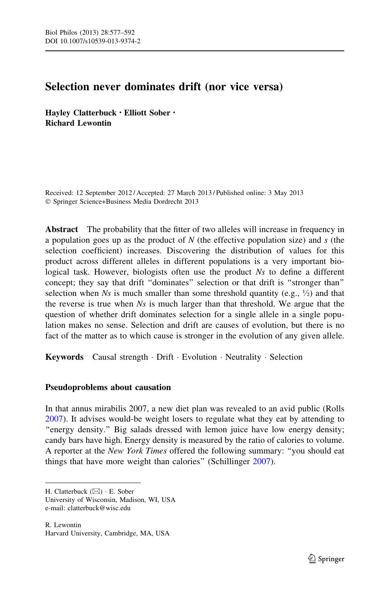# Selection never dominates drift (nor vice versa)

Hayley Clatterbuck • Elliott Sober • Richard Lewontin

Received: 12 September 2012 / Accepted: 27 March 2013 / Published online: 3 May 2013 - Springer Science+Business Media Dordrecht 2013

Abstract The probability that the fitter of two alleles will increase in frequency in a population goes up as the product of  $N$  (the effective population size) and  $s$  (the selection coefficient) increases. Discovering the distribution of values for this product across different alleles in different populations is a very important biological task. However, biologists often use the product Ns to define a different concept; they say that drift ''dominates'' selection or that drift is ''stronger than'' selection when Ns is much smaller than some threshold quantity (e.g.,  $\frac{1}{2}$ ) and that the reverse is true when  $Ns$  is much larger than that threshold. We argue that the question of whether drift dominates selection for a single allele in a single population makes no sense. Selection and drift are causes of evolution, but there is no fact of the matter as to which cause is stronger in the evolution of any given allele.

Keywords Causal strength · Drift · Evolution · Neutrality · Selection

## Pseudoproblems about causation

In that annus mirabilis 2007, a new diet plan was revealed to an avid public (Rolls [2007\)](#page-15-0). It advises would-be weight losers to regulate what they eat by attending to "energy density." Big salads dressed with lemon juice have low energy density; candy bars have high. Energy density is measured by the ratio of calories to volume. A reporter at the New York Times offered the following summary: "you should eat things that have more weight than calories'' (Schillinger [2007](#page-15-0)).

H. Clatterbuck (⊠) · E. Sober

University of Wisconsin, Madison, WI, USA e-mail: clatterbuck@wisc.edu

R. Lewontin Harvard University, Cambridge, MA, USA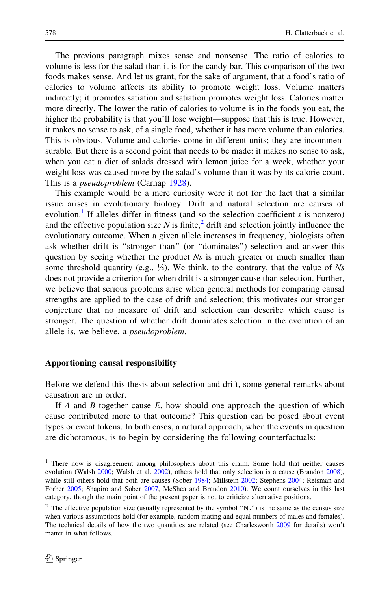The previous paragraph mixes sense and nonsense. The ratio of calories to volume is less for the salad than it is for the candy bar. This comparison of the two foods makes sense. And let us grant, for the sake of argument, that a food's ratio of calories to volume affects its ability to promote weight loss. Volume matters indirectly; it promotes satiation and satiation promotes weight loss. Calories matter more directly. The lower the ratio of calories to volume is in the foods you eat, the higher the probability is that you'll lose weight—suppose that this is true. However, it makes no sense to ask, of a single food, whether it has more volume than calories. This is obvious. Volume and calories come in different units; they are incommensurable. But there is a second point that needs to be made: it makes no sense to ask, when you eat a diet of salads dressed with lemon juice for a week, whether your weight loss was caused more by the salad's volume than it was by its calorie count. This is a pseudoproblem (Carnap [1928](#page-14-0)).

This example would be a mere curiosity were it not for the fact that a similar issue arises in evolutionary biology. Drift and natural selection are causes of evolution.<sup>1</sup> If alleles differ in fitness (and so the selection coefficient  $s$  is nonzero) and the effective population size N is finite,<sup>2</sup> drift and selection jointly influence the evolutionary outcome. When a given allele increases in frequency, biologists often ask whether drift is ''stronger than'' (or ''dominates'') selection and answer this question by seeing whether the product Ns is much greater or much smaller than some threshold quantity (e.g.,  $\frac{1}{2}$ ). We think, to the contrary, that the value of Ns does not provide a criterion for when drift is a stronger cause than selection. Further, we believe that serious problems arise when general methods for comparing causal strengths are applied to the case of drift and selection; this motivates our stronger conjecture that no measure of drift and selection can describe which cause is stronger. The question of whether drift dominates selection in the evolution of an allele is, we believe, a pseudoproblem.

## Apportioning causal responsibility

Before we defend this thesis about selection and drift, some general remarks about causation are in order.

If A and B together cause  $E$ , how should one approach the question of which cause contributed more to that outcome? This question can be posed about event types or event tokens. In both cases, a natural approach, when the events in question are dichotomous, is to begin by considering the following counterfactuals:

<sup>&</sup>lt;sup>1</sup> There now is disagreement among philosophers about this claim. Some hold that neither causes evolution (Walsh [2000;](#page-15-0) Walsh et al. [2002](#page-15-0)), others hold that only selection is a cause (Brandon [2008\)](#page-14-0), while still others hold that both are causes (Sober [1984;](#page-15-0) Millstein [2002;](#page-14-0) Stephens [2004;](#page-15-0) Reisman and Forber [2005;](#page-15-0) Shapiro and Sober [2007](#page-15-0), McShea and Brandon [2010](#page-14-0)). We count ourselves in this last category, though the main point of the present paper is not to criticize alternative positions.

<sup>&</sup>lt;sup>2</sup> The effective population size (usually represented by the symbol " $N_e$ ") is the same as the census size when various assumptions hold (for example, random mating and equal numbers of males and females). The technical details of how the two quantities are related (see Charlesworth [2009](#page-14-0) for details) won't matter in what follows.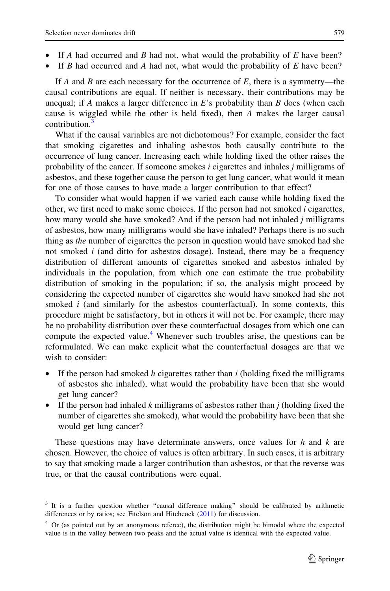- If A had occurred and B had not, what would the probability of  $E$  have been?
- If B had occurred and A had not, what would the probability of  $E$  have been?

If A and B are each necessary for the occurrence of E, there is a symmetry—the causal contributions are equal. If neither is necessary, their contributions may be unequal; if A makes a larger difference in  $E$ 's probability than  $B$  does (when each cause is wiggled while the other is held fixed), then A makes the larger causal contribution.<sup>3</sup>

What if the causal variables are not dichotomous? For example, consider the fact that smoking cigarettes and inhaling asbestos both causally contribute to the occurrence of lung cancer. Increasing each while holding fixed the other raises the probability of the cancer. If someone smokes *i* cigarettes and inhales *j* milligrams of asbestos, and these together cause the person to get lung cancer, what would it mean for one of those causes to have made a larger contribution to that effect?

To consider what would happen if we varied each cause while holding fixed the other, we first need to make some choices. If the person had not smoked i cigarettes, how many would she have smoked? And if the person had not inhaled *j* milligrams of asbestos, how many milligrams would she have inhaled? Perhaps there is no such thing as *the* number of cigarettes the person in question would have smoked had she not smoked  $i$  (and ditto for asbestos dosage). Instead, there may be a frequency distribution of different amounts of cigarettes smoked and asbestos inhaled by individuals in the population, from which one can estimate the true probability distribution of smoking in the population; if so, the analysis might proceed by considering the expected number of cigarettes she would have smoked had she not smoked  $i$  (and similarly for the asbestos counterfactual). In some contexts, this procedure might be satisfactory, but in others it will not be. For example, there may be no probability distribution over these counterfactual dosages from which one can compute the expected value.<sup>4</sup> Whenever such troubles arise, the questions can be reformulated. We can make explicit what the counterfactual dosages are that we wish to consider:

- If the person had smoked  $h$  cigarettes rather than  $i$  (holding fixed the milligrams of asbestos she inhaled), what would the probability have been that she would get lung cancer?
- If the person had inhaled k milligrams of asbestos rather than  $j$  (holding fixed the number of cigarettes she smoked), what would the probability have been that she would get lung cancer?

These questions may have determinate answers, once values for  $h$  and  $k$  are chosen. However, the choice of values is often arbitrary. In such cases, it is arbitrary to say that smoking made a larger contribution than asbestos, or that the reverse was true, or that the causal contributions were equal.

<sup>&</sup>lt;sup>3</sup> It is a further question whether "causal difference making" should be calibrated by arithmetic differences or by ratios; see Fitelson and Hitchcock [\(2011\)](#page-14-0) for discussion.

<sup>&</sup>lt;sup>4</sup> Or (as pointed out by an anonymous referee), the distribution might be bimodal where the expected value is in the valley between two peaks and the actual value is identical with the expected value.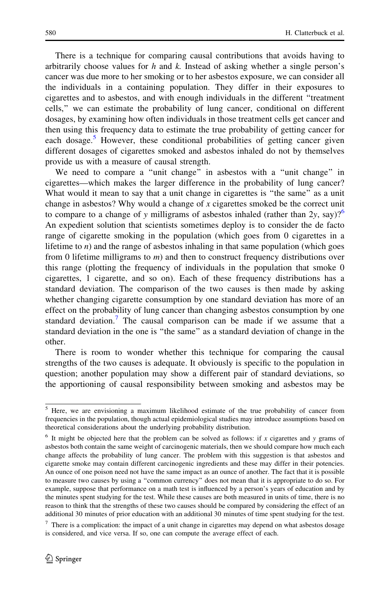There is a technique for comparing causal contributions that avoids having to arbitrarily choose values for  $h$  and  $k$ . Instead of asking whether a single person's cancer was due more to her smoking or to her asbestos exposure, we can consider all the individuals in a containing population. They differ in their exposures to cigarettes and to asbestos, and with enough individuals in the different ''treatment cells,'' we can estimate the probability of lung cancer, conditional on different dosages, by examining how often individuals in those treatment cells get cancer and then using this frequency data to estimate the true probability of getting cancer for each dosage.<sup>5</sup> However, these conditional probabilities of getting cancer given different dosages of cigarettes smoked and asbestos inhaled do not by themselves provide us with a measure of causal strength.

We need to compare a ''unit change'' in asbestos with a ''unit change'' in cigarettes—which makes the larger difference in the probability of lung cancer? What would it mean to say that a unit change in cigarettes is "the same" as a unit change in asbestos? Why would a change of  $x$  cigarettes smoked be the correct unit to compare to a change of y milligrams of asbestos inhaled (rather than 2y, say)?<sup>6</sup> An expedient solution that scientists sometimes deploy is to consider the de facto range of cigarette smoking in the population (which goes from 0 cigarettes in a lifetime to  $n$ ) and the range of asbestos inhaling in that same population (which goes from 0 lifetime milligrams to  $m$ ) and then to construct frequency distributions over this range (plotting the frequency of individuals in the population that smoke 0 cigarettes, 1 cigarette, and so on). Each of these frequency distributions has a standard deviation. The comparison of the two causes is then made by asking whether changing cigarette consumption by one standard deviation has more of an effect on the probability of lung cancer than changing asbestos consumption by one standard deviation.<sup>7</sup> The causal comparison can be made if we assume that a standard deviation in the one is ''the same'' as a standard deviation of change in the other.

There is room to wonder whether this technique for comparing the causal strengths of the two causes is adequate. It obviously is specific to the population in question; another population may show a different pair of standard deviations, so the apportioning of causal responsibility between smoking and asbestos may be

<sup>5</sup> Here, we are envisioning a maximum likelihood estimate of the true probability of cancer from frequencies in the population, though actual epidemiological studies may introduce assumptions based on theoretical considerations about the underlying probability distribution.

 $6$  It might be objected here that the problem can be solved as follows: if x cigarettes and y grams of asbestos both contain the same weight of carcinogenic materials, then we should compare how much each change affects the probability of lung cancer. The problem with this suggestion is that asbestos and cigarette smoke may contain different carcinogenic ingredients and these may differ in their potencies. An ounce of one poison need not have the same impact as an ounce of another. The fact that it is possible to measure two causes by using a ''common currency'' does not mean that it is appropriate to do so. For example, suppose that performance on a math test is influenced by a person's years of education and by the minutes spent studying for the test. While these causes are both measured in units of time, there is no reason to think that the strengths of these two causes should be compared by considering the effect of an additional 30 minutes of prior education with an additional 30 minutes of time spent studying for the test.

 $7$  There is a complication: the impact of a unit change in cigarettes may depend on what asbestos dosage is considered, and vice versa. If so, one can compute the average effect of each.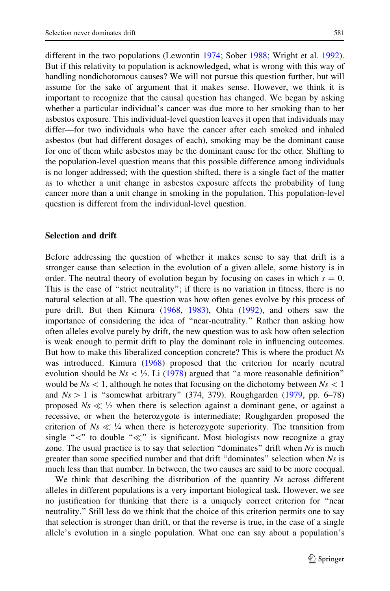different in the two populations (Lewontin [1974;](#page-14-0) Sober [1988](#page-15-0); Wright et al. [1992\)](#page-15-0). But if this relativity to population is acknowledged, what is wrong with this way of handling nondichotomous causes? We will not pursue this question further, but will assume for the sake of argument that it makes sense. However, we think it is important to recognize that the causal question has changed. We began by asking whether a particular individual's cancer was due more to her smoking than to her asbestos exposure. This individual-level question leaves it open that individuals may differ—for two individuals who have the cancer after each smoked and inhaled asbestos (but had different dosages of each), smoking may be the dominant cause for one of them while asbestos may be the dominant cause for the other. Shifting to the population-level question means that this possible difference among individuals is no longer addressed; with the question shifted, there is a single fact of the matter as to whether a unit change in asbestos exposure affects the probability of lung cancer more than a unit change in smoking in the population. This population-level question is different from the individual-level question.

#### Selection and drift

Before addressing the question of whether it makes sense to say that drift is a stronger cause than selection in the evolution of a given allele, some history is in order. The neutral theory of evolution began by focusing on cases in which  $s = 0$ . This is the case of ''strict neutrality''; if there is no variation in fitness, there is no natural selection at all. The question was how often genes evolve by this process of pure drift. But then Kimura ([1968,](#page-14-0) [1983\)](#page-14-0), Ohta [\(1992](#page-14-0)), and others saw the importance of considering the idea of ''near-neutrality.'' Rather than asking how often alleles evolve purely by drift, the new question was to ask how often selection is weak enough to permit drift to play the dominant role in influencing outcomes. But how to make this liberalized conception concrete? This is where the product Ns was introduced. Kimura ([1968\)](#page-14-0) proposed that the criterion for nearly neutral evolution should be  $Ns < \frac{1}{2}$ . Li [\(1978\)](#page-14-0) argued that "a more reasonable definition" would be  $Ns < 1$ , although he notes that focusing on the dichotomy between  $Ns < 1$ and  $Ns > 1$  is "somewhat arbitrary" (374, 379). Roughgarden [\(1979](#page-15-0), pp. 6–78) proposed  $Ns \ll \frac{1}{2}$  when there is selection against a dominant gene, or against a recessive, or when the heterozygote is intermediate; Roughgarden proposed the criterion of  $Ns \ll \frac{1}{4}$  when there is heterozygote superiority. The transition from single " $\lt$ " to double " $\ll$ " is significant. Most biologists now recognize a gray zone. The usual practice is to say that selection "dominates" drift when Ns is much greater than some specified number and that drift ''dominates'' selection when Ns is much less than that number. In between, the two causes are said to be more coequal.

We think that describing the distribution of the quantity  $Ns$  across different alleles in different populations is a very important biological task. However, we see no justification for thinking that there is a uniquely correct criterion for ''near neutrality.'' Still less do we think that the choice of this criterion permits one to say that selection is stronger than drift, or that the reverse is true, in the case of a single allele's evolution in a single population. What one can say about a population's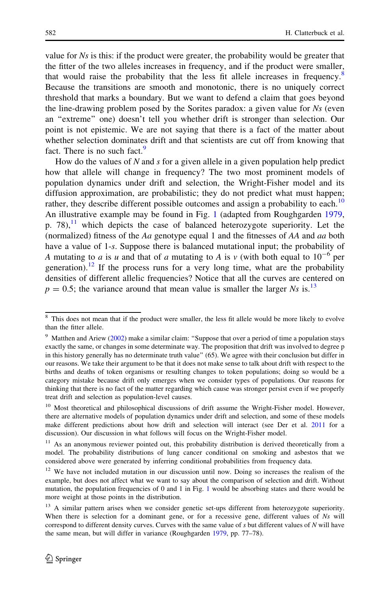value for  $Ns$  is this: if the product were greater, the probability would be greater that the fitter of the two alleles increases in frequency, and if the product were smaller, that would raise the probability that the less fit allele increases in frequency.<sup>8</sup> Because the transitions are smooth and monotonic, there is no uniquely correct threshold that marks a boundary. But we want to defend a claim that goes beyond the line-drawing problem posed by the Sorites paradox: a given value for  $Ns$  (even an ''extreme'' one) doesn't tell you whether drift is stronger than selection. Our point is not epistemic. We are not saying that there is a fact of the matter about whether selection dominates drift and that scientists are cut off from knowing that fact. There is no such fact.<sup>9</sup>

How do the values of N and s for a given allele in a given population help predict how that allele will change in frequency? The two most prominent models of population dynamics under drift and selection, the Wright-Fisher model and its diffusion approximation, are probabilistic; they do not predict what must happen; rather, they describe different possible outcomes and assign a probability to each.<sup>10</sup> An illustrative example may be found in Fig. [1](#page-6-0) (adapted from Roughgarden [1979,](#page-15-0) p. 78), $^{11}$  which depicts the case of balanced heterozygote superiority. Let the (normalized) fitness of the Aa genotype equal 1 and the fitnesses of AA and aa both have a value of 1-s. Suppose there is balanced mutational input; the probability of A mutating to a is u and that of a mutating to A is v (with both equal to  $10^{-6}$  per generation).<sup>12</sup> If the process runs for a very long time, what are the probability densities of different allelic frequencies? Notice that all the curves are centered on  $p = 0.5$ ; the variance around that mean value is smaller the larger Ns is.<sup>13</sup>

<sup>&</sup>lt;sup>8</sup> This does not mean that if the product were smaller, the less fit allele would be more likely to evolve than the fitter allele.

<sup>&</sup>lt;sup>9</sup> Matthen and Ariew [\(2002](#page-14-0)) make a similar claim: "Suppose that over a period of time a population stays exactly the same, or changes in some determinate way. The proposition that drift was involved to degree p in this history generally has no determinate truth value" (65). We agree with their conclusion but differ in our reasons. We take their argument to be that it does not make sense to talk about drift with respect to the births and deaths of token organisms or resulting changes to token populations; doing so would be a category mistake because drift only emerges when we consider types of populations. Our reasons for thinking that there is no fact of the matter regarding which cause was stronger persist even if we properly treat drift and selection as population-level causes.

<sup>&</sup>lt;sup>10</sup> Most theoretical and philosophical discussions of drift assume the Wright-Fisher model. However, there are alternative models of population dynamics under drift and selection, and some of these models make different predictions about how drift and selection will interact (see Der et al. [2011](#page-14-0) for a discussion). Our discussion in what follows will focus on the Wright-Fisher model.

<sup>&</sup>lt;sup>11</sup> As an anonymous reviewer pointed out, this probability distribution is derived theoretically from a model. The probability distributions of lung cancer conditional on smoking and asbestos that we considered above were generated by inferring conditional probabilities from frequency data.

 $12$  We have not included mutation in our discussion until now. Doing so increases the realism of the example, but does not affect what we want to say about the comparison of selection and drift. Without mutation, the population frequencies of 0 and 1 in Fig. [1](#page-6-0) would be absorbing states and there would be more weight at those points in the distribution.

<sup>&</sup>lt;sup>13</sup> A similar pattern arises when we consider genetic set-ups different from heterozygote superiority. When there is selection for a dominant gene, or for a recessive gene, different values of  $Ns$  will correspond to different density curves. Curves with the same value of  $s$  but different values of  $N$  will have the same mean, but will differ in variance (Roughgarden [1979](#page-15-0), pp. 77–78).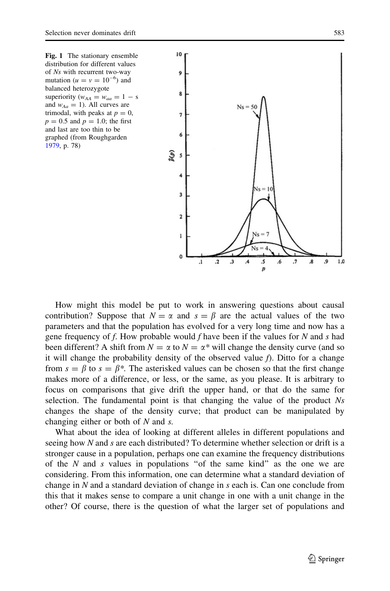<span id="page-6-0"></span>Fig. 1 The stationary ensemble distribution for different values of Ns with recurrent two-way mutation ( $u = v = 10^{-6}$ ) and balanced heterozygote superiority ( $w_{AA} = w_{aa} = 1 - s$ and  $w_{Aa} = 1$ ). All curves are trimodal, with peaks at  $p = 0$ ,  $p = 0.5$  and  $p = 1.0$ ; the first and last are too thin to be graphed (from Roughgarden [1979,](#page-15-0) p. 78)



How might this model be put to work in answering questions about causal contribution? Suppose that  $N = \alpha$  and  $s = \beta$  are the actual values of the two parameters and that the population has evolved for a very long time and now has a gene frequency of f. How probable would f have been if the values for N and s had been different? A shift from  $N = \alpha$  to  $N = \alpha^*$  will change the density curve (and so it will change the probability density of the observed value  $f$ ). Ditto for a change from  $s = \beta$  to  $s = \beta^*$ . The asterisked values can be chosen so that the first change makes more of a difference, or less, or the same, as you please. It is arbitrary to focus on comparisons that give drift the upper hand, or that do the same for selection. The fundamental point is that changing the value of the product  $Ns$ changes the shape of the density curve; that product can be manipulated by changing either or both of  $N$  and  $s$ .

What about the idea of looking at different alleles in different populations and seeing how N and s are each distributed? To determine whether selection or drift is a stronger cause in a population, perhaps one can examine the frequency distributions of the  $N$  and  $s$  values in populations "of the same kind" as the one we are considering. From this information, one can determine what a standard deviation of change in N and a standard deviation of change in s each is. Can one conclude from this that it makes sense to compare a unit change in one with a unit change in the other? Of course, there is the question of what the larger set of populations and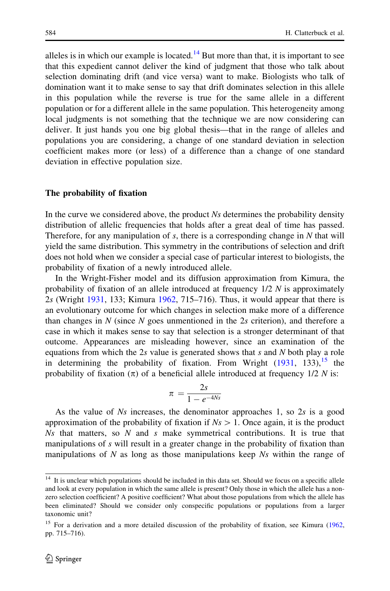alleles is in which our example is located.<sup>14</sup> But more than that, it is important to see that this expedient cannot deliver the kind of judgment that those who talk about selection dominating drift (and vice versa) want to make. Biologists who talk of domination want it to make sense to say that drift dominates selection in this allele in this population while the reverse is true for the same allele in a different population or for a different allele in the same population. This heterogeneity among local judgments is not something that the technique we are now considering can deliver. It just hands you one big global thesis—that in the range of alleles and populations you are considering, a change of one standard deviation in selection coefficient makes more (or less) of a difference than a change of one standard deviation in effective population size.

#### The probability of fixation

In the curve we considered above, the product Ns determines the probability density distribution of allelic frequencies that holds after a great deal of time has passed. Therefore, for any manipulation of  $s$ , there is a corresponding change in  $N$  that will yield the same distribution. This symmetry in the contributions of selection and drift does not hold when we consider a special case of particular interest to biologists, the probability of fixation of a newly introduced allele.

In the Wright-Fisher model and its diffusion approximation from Kimura, the probability of fixation of an allele introduced at frequency 1/2 N is approximately 2s (Wright [1931,](#page-15-0) 133; Kimura [1962](#page-14-0), 715–716). Thus, it would appear that there is an evolutionary outcome for which changes in selection make more of a difference than changes in N (since N goes unmentioned in the  $2s$  criterion), and therefore a case in which it makes sense to say that selection is a stronger determinant of that outcome. Appearances are misleading however, since an examination of the equations from which the  $2s$  value is generated shows that s and N both play a role in determining the probability of fixation. From Wright  $(1931, 133)$  $(1931, 133)$  $(1931, 133)$ ,  $^{15}$  the probability of fixation  $(\pi)$  of a beneficial allele introduced at frequency  $1/2$  N is:

$$
\pi = \frac{2s}{1 - e^{-4Ns}}
$$

As the value of Ns increases, the denominator approaches 1, so 2s is a good approximation of the probability of fixation if  $Ns > 1$ . Once again, it is the product Ns that matters, so  $N$  and  $s$  make symmetrical contributions. It is true that manipulations of s will result in a greater change in the probability of fixation than manipulations of N as long as those manipulations keep  $Ns$  within the range of

<sup>&</sup>lt;sup>14</sup> It is unclear which populations should be included in this data set. Should we focus on a specific allele and look at every population in which the same allele is present? Only those in which the allele has a nonzero selection coefficient? A positive coefficient? What about those populations from which the allele has been eliminated? Should we consider only conspecific populations or populations from a larger taxonomic unit?

<sup>&</sup>lt;sup>15</sup> For a derivation and a more detailed discussion of the probability of fixation, see Kimura [\(1962](#page-14-0), pp. 715–716).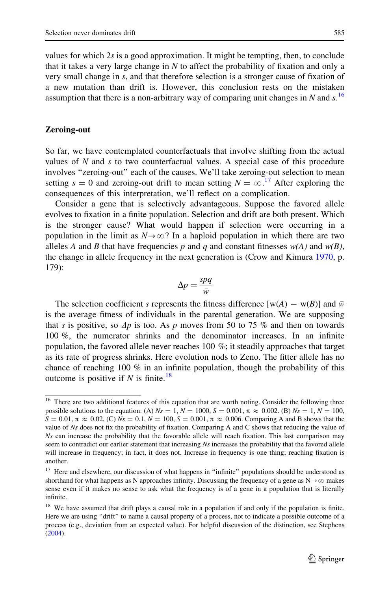values for which 2s is a good approximation. It might be tempting, then, to conclude that it takes a very large change in  $N$  to affect the probability of fixation and only a very small change in s, and that therefore selection is a stronger cause of fixation of a new mutation than drift is. However, this conclusion rests on the mistaken assumption that there is a non-arbitrary way of comparing unit changes in N and  $s$ .<sup>16</sup>

## Zeroing-out

So far, we have contemplated counterfactuals that involve shifting from the actual values of  $N$  and  $s$  to two counterfactual values. A special case of this procedure involves ''zeroing-out'' each of the causes. We'll take zeroing-out selection to mean setting  $s = 0$  and zeroing-out drift to mean setting  $N = \infty$ .<sup>17</sup> After exploring the consequences of this interpretation, we'll reflect on a complication.

Consider a gene that is selectively advantageous. Suppose the favored allele evolves to fixation in a finite population. Selection and drift are both present. Which is the stronger cause? What would happen if selection were occurring in a population in the limit as  $N \rightarrow \infty$ ? In a haploid population in which there are two alleles A and B that have frequencies p and q and constant fitnesses  $w(A)$  and  $w(B)$ , the change in allele frequency in the next generation is (Crow and Kimura [1970](#page-14-0), p. 179):

$$
\Delta p = \frac{spq}{\bar{w}}
$$

The selection coefficient s represents the fitness difference  $[w(A) - w(B)]$  and  $\bar{w}$ is the average fitness of individuals in the parental generation. We are supposing that s is positive, so  $\Delta p$  is too. As p moves from 50 to 75 % and then on towards 100 %, the numerator shrinks and the denominator increases. In an infinite population, the favored allele never reaches  $100\%$ ; it steadily approaches that target as its rate of progress shrinks. Here evolution nods to Zeno. The fitter allele has no chance of reaching 100 % in an infinite population, though the probability of this outcome is positive if N is finite.<sup>18</sup>

<sup>&</sup>lt;sup>16</sup> There are two additional features of this equation that are worth noting. Consider the following three possible solutions to the equation: (A)  $Ns = 1$ ,  $N = 1000$ ,  $S = 0.001$ ,  $\pi \approx 0.002$ . (B)  $Ns = 1$ ,  $N = 100$ ,  $S = 0.01$ ,  $\pi \approx 0.02$ , (C)  $Ns = 0.1$ ,  $N = 100$ ,  $S = 0.001$ ,  $\pi \approx 0.006$ . Comparing A and B shows that the value of Ns does not fix the probability of fixation. Comparing A and C shows that reducing the value of Ns can increase the probability that the favorable allele will reach fixation. This last comparison may seem to contradict our earlier statement that increasing Ns increases the probability that the favored allele will increase in frequency; in fact, it does not. Increase in frequency is one thing; reaching fixation is another.

<sup>&</sup>lt;sup>17</sup> Here and elsewhere, our discussion of what happens in "infinite" populations should be understood as shorthand for what happens as N approaches infinity. Discussing the frequency of a gene as  $N \rightarrow \infty$  makes sense even if it makes no sense to ask what the frequency is of a gene in a population that is literally infinite.

<sup>&</sup>lt;sup>18</sup> We have assumed that drift plays a causal role in a population if and only if the population is finite. Here we are using "drift" to name a causal property of a process, not to indicate a possible outcome of a process (e.g., deviation from an expected value). For helpful discussion of the distinction, see Stephens ([2004\)](#page-15-0).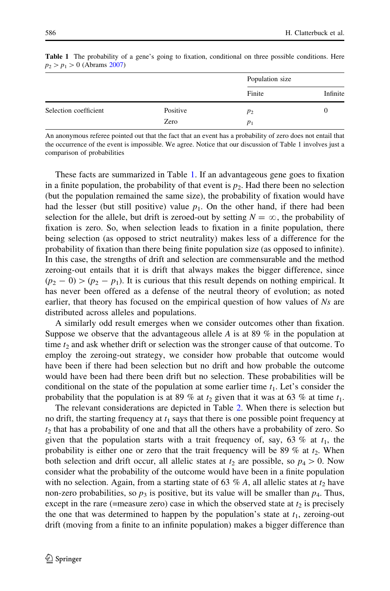|                       |          | Population size |          |
|-----------------------|----------|-----------------|----------|
|                       |          | Finite          | Infinite |
| Selection coefficient | Positive | $p_2$           | $\theta$ |
|                       | Zero     | $p_1$           |          |

Table 1 The probability of a gene's going to fixation, conditional on three possible conditions. Here  $p_2$  >  $p_1$  > 0 (Abrams [2007](#page-14-0))

An anonymous referee pointed out that the fact that an event has a probability of zero does not entail that the occurrence of the event is impossible. We agree. Notice that our discussion of Table 1 involves just a comparison of probabilities

These facts are summarized in Table 1. If an advantageous gene goes to fixation in a finite population, the probability of that event is  $p_2$ . Had there been no selection (but the population remained the same size), the probability of fixation would have had the lesser (but still positive) value  $p_1$ . On the other hand, if there had been selection for the allele, but drift is zeroed-out by setting  $N = \infty$ , the probability of fixation is zero. So, when selection leads to fixation in a finite population, there being selection (as opposed to strict neutrality) makes less of a difference for the probability of fixation than there being finite population size (as opposed to infinite). In this case, the strengths of drift and selection are commensurable and the method zeroing-out entails that it is drift that always makes the bigger difference, since  $(p_2 - 0) > (p_2 - p_1)$ . It is curious that this result depends on nothing empirical. It has never been offered as a defense of the neutral theory of evolution; as noted earlier, that theory has focused on the empirical question of how values of Ns are distributed across alleles and populations.

A similarly odd result emerges when we consider outcomes other than fixation. Suppose we observe that the advantageous allele A is at 89  $%$  in the population at time  $t_2$  and ask whether drift or selection was the stronger cause of that outcome. To employ the zeroing-out strategy, we consider how probable that outcome would have been if there had been selection but no drift and how probable the outcome would have been had there been drift but no selection. These probabilities will be conditional on the state of the population at some earlier time  $t_1$ . Let's consider the probability that the population is at 89 % at  $t_2$  given that it was at 63 % at time  $t_1$ .

The relevant considerations are depicted in Table [2.](#page-10-0) When there is selection but no drift, the starting frequency at  $t_1$  says that there is one possible point frequency at  $t_2$  that has a probability of one and that all the others have a probability of zero. So given that the population starts with a trait frequency of, say, 63 % at  $t_1$ , the probability is either one or zero that the trait frequency will be 89 % at  $t_2$ . When both selection and drift occur, all allelic states at  $t_2$  are possible, so  $p_4 > 0$ . Now consider what the probability of the outcome would have been in a finite population with no selection. Again, from a starting state of 63 % A, all allelic states at  $t_2$  have non-zero probabilities, so  $p_3$  is positive, but its value will be smaller than  $p_4$ . Thus, except in the rare (=measure zero) case in which the observed state at  $t_2$  is precisely the one that was determined to happen by the population's state at  $t_1$ , zeroing-out drift (moving from a finite to an infinite population) makes a bigger difference than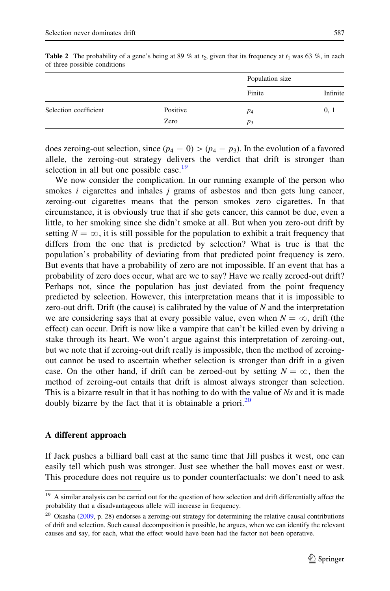|                       |          | Population size |          |
|-----------------------|----------|-----------------|----------|
|                       |          | Finite          | Infinite |
| Selection coefficient | Positive | $p_4$           | 0, 1     |
|                       | Zero     | $p_3$           |          |

<span id="page-10-0"></span>**Table 2** The probability of a gene's being at 89 % at  $t_2$ , given that its frequency at  $t_1$  was 63 %, in each of three possible conditions

does zeroing-out selection, since  $(p_4 - 0) > (p_4 - p_3)$ . In the evolution of a favored allele, the zeroing-out strategy delivers the verdict that drift is stronger than selection in all but one possible case. $19$ 

We now consider the complication. In our running example of the person who smokes *i* cigarettes and inhales *j* grams of asbestos and then gets lung cancer, zeroing-out cigarettes means that the person smokes zero cigarettes. In that circumstance, it is obviously true that if she gets cancer, this cannot be due, even a little, to her smoking since she didn't smoke at all. But when you zero-out drift by setting  $N = \infty$ , it is still possible for the population to exhibit a trait frequency that differs from the one that is predicted by selection? What is true is that the population's probability of deviating from that predicted point frequency is zero. But events that have a probability of zero are not impossible. If an event that has a probability of zero does occur, what are we to say? Have we really zeroed-out drift? Perhaps not, since the population has just deviated from the point frequency predicted by selection. However, this interpretation means that it is impossible to zero-out drift. Drift (the cause) is calibrated by the value of  $N$  and the interpretation we are considering says that at every possible value, even when  $N = \infty$ , drift (the effect) can occur. Drift is now like a vampire that can't be killed even by driving a stake through its heart. We won't argue against this interpretation of zeroing-out, but we note that if zeroing-out drift really is impossible, then the method of zeroingout cannot be used to ascertain whether selection is stronger than drift in a given case. On the other hand, if drift can be zeroed-out by setting  $N = \infty$ , then the method of zeroing-out entails that drift is almost always stronger than selection. This is a bizarre result in that it has nothing to do with the value of  $Ns$  and it is made doubly bizarre by the fact that it is obtainable a priori. $^{20}$ 

## A different approach

If Jack pushes a billiard ball east at the same time that Jill pushes it west, one can easily tell which push was stronger. Just see whether the ball moves east or west. This procedure does not require us to ponder counterfactuals: we don't need to ask

<sup>&</sup>lt;sup>19</sup> A similar analysis can be carried out for the question of how selection and drift differentially affect the probability that a disadvantageous allele will increase in frequency.

<sup>&</sup>lt;sup>20</sup> Okasha ([2009,](#page-15-0) p. 28) endorses a zeroing-out strategy for determining the relative causal contributions of drift and selection. Such causal decomposition is possible, he argues, when we can identify the relevant causes and say, for each, what the effect would have been had the factor not been operative.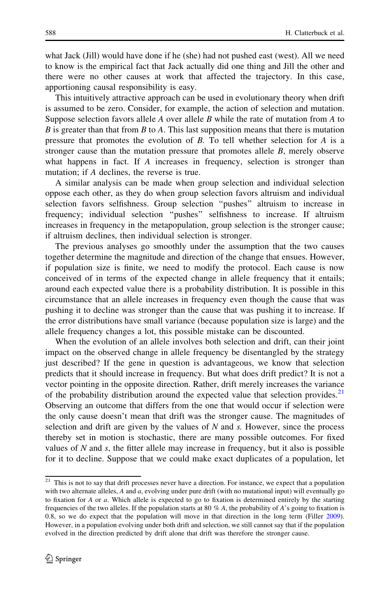what Jack (Jill) would have done if he (she) had not pushed east (west). All we need to know is the empirical fact that Jack actually did one thing and Jill the other and there were no other causes at work that affected the trajectory. In this case, apportioning causal responsibility is easy.

This intuitively attractive approach can be used in evolutionary theory when drift is assumed to be zero. Consider, for example, the action of selection and mutation. Suppose selection favors allele A over allele B while the rate of mutation from A to  $B$  is greater than that from  $B$  to  $A$ . This last supposition means that there is mutation pressure that promotes the evolution of B. To tell whether selection for A is a stronger cause than the mutation pressure that promotes allele B, merely observe what happens in fact. If A increases in frequency, selection is stronger than mutation; if A declines, the reverse is true.

A similar analysis can be made when group selection and individual selection oppose each other, as they do when group selection favors altruism and individual selection favors selfishness. Group selection ''pushes'' altruism to increase in frequency; individual selection ''pushes'' selfishness to increase. If altruism increases in frequency in the metapopulation, group selection is the stronger cause; if altruism declines, then individual selection is stronger.

The previous analyses go smoothly under the assumption that the two causes together determine the magnitude and direction of the change that ensues. However, if population size is finite, we need to modify the protocol. Each cause is now conceived of in terms of the expected change in allele frequency that it entails; around each expected value there is a probability distribution. It is possible in this circumstance that an allele increases in frequency even though the cause that was pushing it to decline was stronger than the cause that was pushing it to increase. If the error distributions have small variance (because population size is large) and the allele frequency changes a lot, this possible mistake can be discounted.

When the evolution of an allele involves both selection and drift, can their joint impact on the observed change in allele frequency be disentangled by the strategy just described? If the gene in question is advantageous, we know that selection predicts that it should increase in frequency. But what does drift predict? It is not a vector pointing in the opposite direction. Rather, drift merely increases the variance of the probability distribution around the expected value that selection provides.<sup>21</sup> Observing an outcome that differs from the one that would occur if selection were the only cause doesn't mean that drift was the stronger cause. The magnitudes of selection and drift are given by the values of  $N$  and  $s$ . However, since the process thereby set in motion is stochastic, there are many possible outcomes. For fixed values of  $N$  and  $s$ , the fitter allele may increase in frequency, but it also is possible for it to decline. Suppose that we could make exact duplicates of a population, let

<sup>&</sup>lt;sup>21</sup> This is not to say that drift processes never have a direction. For instance, we expect that a population with two alternate alleles,  $A$  and  $a$ , evolving under pure drift (with no mutational input) will eventually go to fixation for A or a. Which allele is expected to go to fixation is determined entirely by the starting frequencies of the two alleles. If the population starts at 80 % A, the probability of A's going to fixation is 0.8, so we do expect that the population will move in that direction in the long term (Filler [2009\)](#page-14-0). However, in a population evolving under both drift and selection, we still cannot say that if the population evolved in the direction predicted by drift alone that drift was therefore the stronger cause.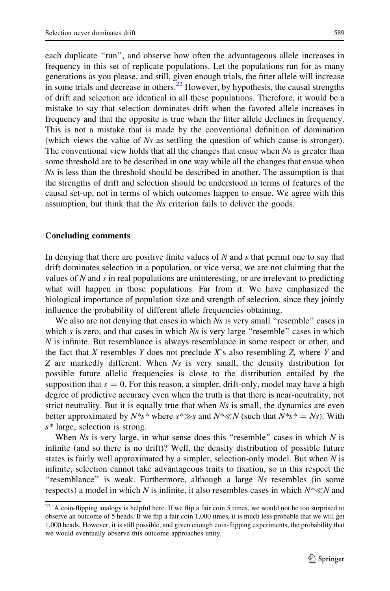each duplicate ''run'', and observe how often the advantageous allele increases in frequency in this set of replicate populations. Let the populations run for as many generations as you please, and still, given enough trials, the fitter allele will increase in some trials and decrease in others.<sup>22</sup> However, by hypothesis, the causal strengths of drift and selection are identical in all these populations. Therefore, it would be a mistake to say that selection dominates drift when the favored allele increases in frequency and that the opposite is true when the fitter allele declines in frequency. This is not a mistake that is made by the conventional definition of domination (which views the value of  $N_s$  as settling the question of which cause is stronger). The conventional view holds that all the changes that ensue when  $Ns$  is greater than some threshold are to be described in one way while all the changes that ensue when Ns is less than the threshold should be described in another. The assumption is that the strengths of drift and selection should be understood in terms of features of the causal set-up, not in terms of which outcomes happen to ensue. We agree with this assumption, but think that the Ns criterion fails to deliver the goods.

#### Concluding comments

In denying that there are positive finite values of  $N$  and  $s$  that permit one to say that drift dominates selection in a population, or vice versa, we are not claiming that the values of  $N$  and  $s$  in real populations are uninteresting, or are irrelevant to predicting what will happen in those populations. Far from it. We have emphasized the biological importance of population size and strength of selection, since they jointly influence the probability of different allele frequencies obtaining.

We also are not denying that cases in which  $N_s$  is very small "resemble" cases in which  $s$  is zero, and that cases in which  $Ns$  is very large "resemble" cases in which  $N$  is infinite. But resemblance is always resemblance in some respect or other, and the fact that X resembles Y does not preclude  $X$ 's also resembling Z, where Y and  $Z$  are markedly different. When  $Ns$  is very small, the density distribution for possible future allelic frequencies is close to the distribution entailed by the supposition that  $s = 0$ . For this reason, a simpler, drift-only, model may have a high degree of predictive accuracy even when the truth is that there is near-neutrality, not strict neutrality. But it is equally true that when  $Ns$  is small, the dynamics are even better approximated by  $N^*s^*$  where  $s^* \gg s$  and  $N^* \ll N$  (such that  $N^*s^* = Ns$ ). With s\* large, selection is strong.

When  $Ns$  is very large, in what sense does this "resemble" cases in which  $N$  is infinite (and so there is no drift)? Well, the density distribution of possible future states is fairly well approximated by a simpler, selection-only model. But when N is infinite, selection cannot take advantageous traits to fixation, so in this respect the ''resemblance'' is weak. Furthermore, although a large Ns resembles (in some respects) a model in which N is infinite, it also resembles cases in which  $N^* \ll N$  and

<sup>22</sup> A coin-flipping analogy is helpful here. If we flip a fair coin 5 times, we would not be too surprised to observe an outcome of 5 heads. If we flip a fair coin 1,000 times, it is much less probable that we will get 1,000 heads. However, it is still possible, and given enough coin-flipping experiments, the probability that we would eventually observe this outcome approaches unity.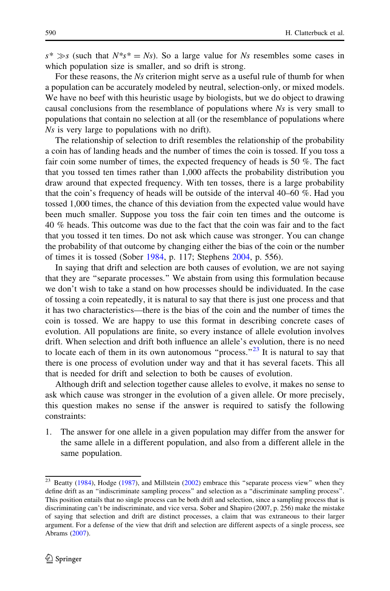$s^* \gg s$  (such that  $N^*s^* = Ns$ ). So a large value for Ns resembles some cases in which population size is smaller, and so drift is strong.

For these reasons, the Ns criterion might serve as a useful rule of thumb for when a population can be accurately modeled by neutral, selection-only, or mixed models. We have no beef with this heuristic usage by biologists, but we do object to drawing causal conclusions from the resemblance of populations where  $Ns$  is very small to populations that contain no selection at all (or the resemblance of populations where Ns is very large to populations with no drift).

The relationship of selection to drift resembles the relationship of the probability a coin has of landing heads and the number of times the coin is tossed. If you toss a fair coin some number of times, the expected frequency of heads is 50 %. The fact that you tossed ten times rather than 1,000 affects the probability distribution you draw around that expected frequency. With ten tosses, there is a large probability that the coin's frequency of heads will be outside of the interval 40–60 %. Had you tossed 1,000 times, the chance of this deviation from the expected value would have been much smaller. Suppose you toss the fair coin ten times and the outcome is 40 % heads. This outcome was due to the fact that the coin was fair and to the fact that you tossed it ten times. Do not ask which cause was stronger. You can change the probability of that outcome by changing either the bias of the coin or the number of times it is tossed (Sober [1984,](#page-15-0) p. 117; Stephens [2004,](#page-15-0) p. 556).

In saying that drift and selection are both causes of evolution, we are not saying that they are ''separate processes.'' We abstain from using this formulation because we don't wish to take a stand on how processes should be individuated. In the case of tossing a coin repeatedly, it is natural to say that there is just one process and that it has two characteristics—there is the bias of the coin and the number of times the coin is tossed. We are happy to use this format in describing concrete cases of evolution. All populations are finite, so every instance of allele evolution involves drift. When selection and drift both influence an allele's evolution, there is no need to locate each of them in its own autonomous "process."<sup>23</sup> It is natural to say that there is one process of evolution under way and that it has several facets. This all that is needed for drift and selection to both be causes of evolution.

Although drift and selection together cause alleles to evolve, it makes no sense to ask which cause was stronger in the evolution of a given allele. Or more precisely, this question makes no sense if the answer is required to satisfy the following constraints:

1. The answer for one allele in a given population may differ from the answer for the same allele in a different population, and also from a different allele in the same population.

 $23$  Beatty [\(1984\)](#page-14-0), Hodge ([1987\)](#page-14-0), and Millstein ([2002\)](#page-14-0) embrace this "separate process view" when they define drift as an "indiscriminate sampling process" and selection as a "discriminate sampling process". This position entails that no single process can be both drift and selection, since a sampling process that is discriminating can't be indiscriminate, and vice versa. Sober and Shapiro (2007, p. 256) make the mistake of saying that selection and drift are distinct processes, a claim that was extraneous to their larger argument. For a defense of the view that drift and selection are different aspects of a single process, see Abrams [\(2007](#page-14-0)).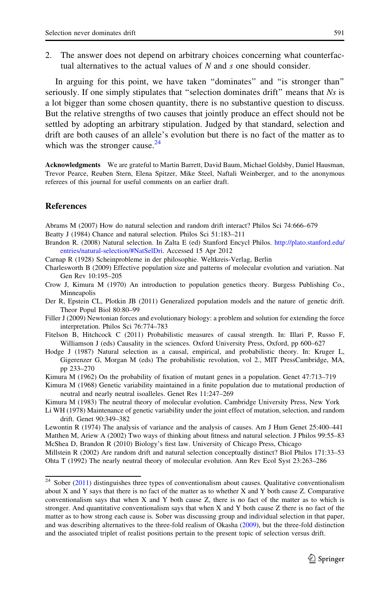<span id="page-14-0"></span>2. The answer does not depend on arbitrary choices concerning what counterfactual alternatives to the actual values of N and s one should consider.

In arguing for this point, we have taken ''dominates'' and ''is stronger than'' seriously. If one simply stipulates that "selection dominates drift" means that  $Ns$  is a lot bigger than some chosen quantity, there is no substantive question to discuss. But the relative strengths of two causes that jointly produce an effect should not be settled by adopting an arbitrary stipulation. Judged by that standard, selection and drift are both causes of an allele's evolution but there is no fact of the matter as to which was the stronger cause. $24$ 

Acknowledgments We are grateful to Martin Barrett, David Baum, Michael Goldsby, Daniel Hausman, Trevor Pearce, Reuben Stern, Elena Spitzer, Mike Steel, Naftali Weinberger, and to the anonymous referees of this journal for useful comments on an earlier draft.

### **References**

Abrams M (2007) How do natural selection and random drift interact? Philos Sci 74:666–679

Beatty J (1984) Chance and natural selection. Philos Sci 51:183–211

- Brandon R. (2008) Natural selection. In Zalta E (ed) Stanford Encycl Philos. [http://plato.stanford.edu/](http://plato.stanford.edu/entries/natural-selection/#NatSelDri) [entries/natural-selection/#NatSelDri](http://plato.stanford.edu/entries/natural-selection/#NatSelDri). Accessed 15 Apr 2012
- Carnap R (1928) Scheinprobleme in der philosophie. Weltkreis-Verlag, Berlin
- Charlesworth B (2009) Effective population size and patterns of molecular evolution and variation. Nat Gen Rev 10:195–205
- Crow J, Kimura M (1970) An introduction to population genetics theory. Burgess Publishing Co., Minneapolis
- Der R, Epstein CL, Plotkin JB (2011) Generalized population models and the nature of genetic drift. Theor Popul Biol 80:80–99
- Filler J (2009) Newtonian forces and evolutionary biology: a problem and solution for extending the force interpretation. Philos Sci 76:774–783
- Fitelson B, Hitchcock C (2011) Probabilistic measures of causal strength. In: Illari P, Russo F, Williamson J (eds) Causality in the sciences. Oxford University Press, Oxford, pp 600–627
- Hodge J (1987) Natural selection as a causal, empirical, and probabilistic theory. In: Kruger L, Gigerenzer G, Morgan M (eds) The probabilistic revolution, vol 2., MIT PressCambridge, MA, pp 233–270
- Kimura M (1962) On the probability of fixation of mutant genes in a population. Genet 47:713–719
- Kimura M (1968) Genetic variability maintained in a finite population due to mutational production of neutral and nearly neutral isoalleles. Genet Res 11:247–269

Kimura M (1983) The neutral theory of molecular evolution. Cambridge University Press, New York

- Li WH (1978) Maintenance of genetic variability under the joint effect of mutation, selection, and random drift. Genet 90:349–382
- Lewontin R (1974) The analysis of variance and the analysis of causes. Am J Hum Genet 25:400–441 Matthen M, Ariew A (2002) Two ways of thinking about fitness and natural selection. J Philos 99:55–83 McShea D, Brandon R (2010) Biology's first law. University of Chicago Press, Chicago

Millstein R (2002) Are random drift and natural selection conceptually distinct? Biol Philos 171:33–53 Ohta T (1992) The nearly neutral theory of molecular evolution. Ann Rev Ecol Syst 23:263–286

 $24$  Sober ([2011\)](#page-15-0) distinguishes three types of conventionalism about causes. Qualitative conventionalism about X and Y says that there is no fact of the matter as to whether X and Y both cause Z. Comparative conventionalism says that when X and Y both cause Z, there is no fact of the matter as to which is stronger. And quantitative conventionalism says that when X and Y both cause Z there is no fact of the matter as to how strong each cause is. Sober was discussing group and individual selection in that paper, and was describing alternatives to the three-fold realism of Okasha [\(2009\)](#page-15-0), but the three-fold distinction and the associated triplet of realist positions pertain to the present topic of selection versus drift.